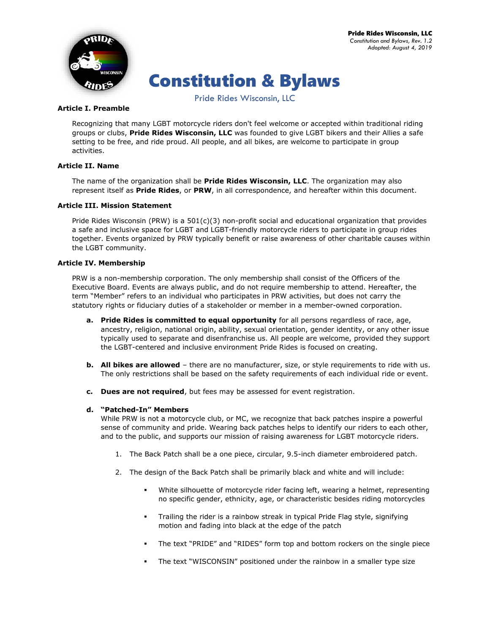

# Constitution & Bylaws

Pride Rides Wisconsin, LLC

## **Article I. Preamble**

Recognizing that many LGBT motorcycle riders don't feel welcome or accepted within traditional riding groups or clubs, **Pride Rides Wisconsin, LLC** was founded to give LGBT bikers and their Allies a safe setting to be free, and ride proud. All people, and all bikes, are welcome to participate in group activities.

## **Article II. Name**

The name of the organization shall be **Pride Rides Wisconsin, LLC**. The organization may also represent itself as **Pride Rides**, or **PRW**, in all correspondence, and hereafter within this document.

## **Article III. Mission Statement**

Pride Rides Wisconsin (PRW) is a 501(c)(3) non-profit social and educational organization that provides a safe and inclusive space for LGBT and LGBT-friendly motorcycle riders to participate in group rides together. Events organized by PRW typically benefit or raise awareness of other charitable causes within the LGBT community.

## **Article IV. Membership**

PRW is a non-membership corporation. The only membership shall consist of the Officers of the Executive Board. Events are always public, and do not require membership to attend. Hereafter, the term "Member" refers to an individual who participates in PRW activities, but does not carry the statutory rights or fiduciary duties of a stakeholder or member in a member-owned corporation.

- **a. Pride Rides is committed to equal opportunity** for all persons regardless of race, age, ancestry, religion, national origin, ability, sexual orientation, gender identity, or any other issue typically used to separate and disenfranchise us. All people are welcome, provided they support the LGBT-centered and inclusive environment Pride Rides is focused on creating.
- **b. All bikes are allowed** there are no manufacturer, size, or style requirements to ride with us. The only restrictions shall be based on the safety requirements of each individual ride or event.
- **c. Dues are not required**, but fees may be assessed for event registration.

## **d. "Patched-In" Members**

While PRW is not a motorcycle club, or MC, we recognize that back patches inspire a powerful sense of community and pride. Wearing back patches helps to identify our riders to each other, and to the public, and supports our mission of raising awareness for LGBT motorcycle riders.

- 1. The Back Patch shall be a one piece, circular, 9.5-inch diameter embroidered patch.
- 2. The design of the Back Patch shall be primarily black and white and will include:
	- White silhouette of motorcycle rider facing left, wearing a helmet, representing no specific gender, ethnicity, age, or characteristic besides riding motorcycles
	- Trailing the rider is a rainbow streak in typical Pride Flag style, signifying motion and fading into black at the edge of the patch
	- The text "PRIDE" and "RIDES" form top and bottom rockers on the single piece
	- The text "WISCONSIN" positioned under the rainbow in a smaller type size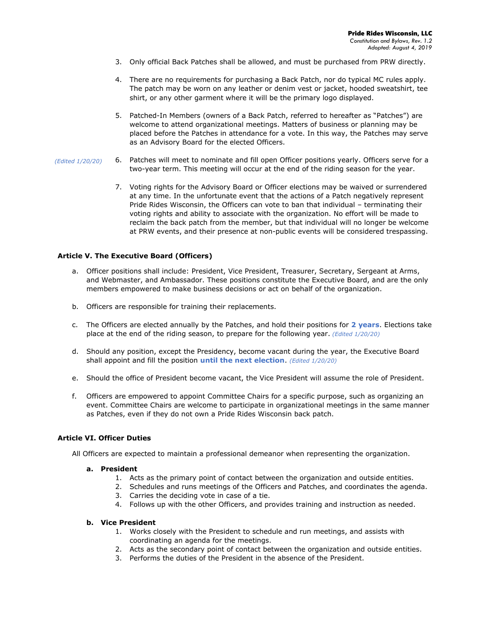- 3. Only official Back Patches shall be allowed, and must be purchased from PRW directly.
- 4. There are no requirements for purchasing a Back Patch, nor do typical MC rules apply. The patch may be worn on any leather or denim vest or jacket, hooded sweatshirt, tee shirt, or any other garment where it will be the primary logo displayed.
- 5. Patched-In Members (owners of a Back Patch, referred to hereafter as "Patches") are welcome to attend organizational meetings. Matters of business or planning may be placed before the Patches in attendance for a vote. In this way, the Patches may serve as an Advisory Board for the elected Officers.
- 6. Patches will meet to nominate and fill open Officer positions yearly. Officers serve for a two-year term. This meeting will occur at the end of the riding season for the year. *(Edited 1/20/20)*
	- 7. Voting rights for the Advisory Board or Officer elections may be waived or surrendered at any time. In the unfortunate event that the actions of a Patch negatively represent Pride Rides Wisconsin, the Officers can vote to ban that individual – terminating their voting rights and ability to associate with the organization. No effort will be made to reclaim the back patch from the member, but that individual will no longer be welcome at PRW events, and their presence at non-public events will be considered trespassing.

## **Article V. The Executive Board (Officers)**

- a. Officer positions shall include: President, Vice President, Treasurer, Secretary, Sergeant at Arms, and Webmaster, and Ambassador. These positions constitute the Executive Board, and are the only members empowered to make business decisions or act on behalf of the organization.
- b. Officers are responsible for training their replacements.
- c. The Officers are elected annually by the Patches, and hold their positions for **2 years**. Elections take place at the end of the riding season, to prepare for the following year. *(Edited 1/20/20)*
- d. Should any position, except the Presidency, become vacant during the year, the Executive Board shall appoint and fill the position **until the next election**. *(Edited 1/20/20)*
- e. Should the office of President become vacant, the Vice President will assume the role of President.
- f. Officers are empowered to appoint Committee Chairs for a specific purpose, such as organizing an event. Committee Chairs are welcome to participate in organizational meetings in the same manner as Patches, even if they do not own a Pride Rides Wisconsin back patch.

#### **Article VI. Officer Duties**

All Officers are expected to maintain a professional demeanor when representing the organization.

#### **a. President**

- 1. Acts as the primary point of contact between the organization and outside entities.
- 2. Schedules and runs meetings of the Officers and Patches, and coordinates the agenda.
- 3. Carries the deciding vote in case of a tie.
- 4. Follows up with the other Officers, and provides training and instruction as needed.

### **b. Vice President**

- 1. Works closely with the President to schedule and run meetings, and assists with coordinating an agenda for the meetings.
- 2. Acts as the secondary point of contact between the organization and outside entities.
- 3. Performs the duties of the President in the absence of the President.